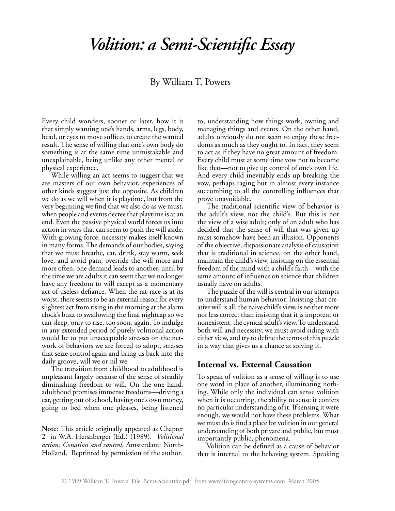# *Volition: a Semi-Scientific Essay*

## By William T. Powers

Every child wonders, sooner or later, how it is that simply wanting one's hands, arms, legs, body, head, or eyes to move suffices to create the wanted result. The sense of willing that one's own body do something is at the same time unmistakable and unexplainable, being unlike any other mental or physical experience.

While willing an act seems to suggest that we are masters of our own behavior, experiences of other kinds suggest just the opposite. As children we do as we will when it is playtime, but from the very beginning we find that we also do as we must, when people and events decree that playtime is at an end. Even the passive physical world forces us into action in ways that can seem to push the will aside. With growing force, necessity makes itself known in many forms. The demands of our bodies, saying that we must breathe, eat, drink, stay warm, seek love, and avoid pain, override the will more and more often; one demand leads to another, until by the time we are adults it can seem that we no longer have any freedom to will except as a momentary act of useless defiance. When the rat-race is at its worst, there seems to be an external reason for every slightest act from rising in the morning at the alarm clock's buzz to swallowing the final nightcap so we can sleep, only to rise, too soon, again. To indulge in any extended period of purely volitional action would be to put unacceptable stresses on the network of behaviors we are forced to adopt, stresses that seize control again and bring us back into the daily groove, will we or nil we.

The transition from childhood to adulthood is unpleasant largely because of the sense of steadily diminishing freedom to will. On the one hand, adulthood promises immense freedoms—driving a car, getting out of school, having one's own money, going to bed when one pleases, being listened

**Note:** This article originally appeared as Chapter 2 in W.A. Hershberger (Ed.) (1989). *Volitional action: Conation and control*, Amsterdam: North-Holland. Reprinted by permission of the author.

to, understanding how things work, owning and managing things and events. On the other hand, adults obviously do not seem to enjoy these freedoms as much as they ought to. In fact, they seem to act as if they have no great amount of freedom. Every child must at some time vow not to become like that—not to give up control of one's own life. And every child inevitably ends up breaking the vow, perhaps raging but in almost every instance succumbing to all the controlling influences that prove unavoidable.

The traditional scientific view of behavior is the adult's view, not the child's. But this is not the view of a wise adult; only of an adult who has decided that the sense of will that was given up must somehow have been an illusion. Opponents of the objective, dispassionate analysis of causation that is traditional in science, on the other hand, maintain the child's view, insisting on the essential freedom of the mind with a child's faith—with the same amount of influence on science that children usually have on adults.

The puzzle of the will is central in our attempts to understand human behavior. Insisting that creative will is all, the naive child's view, is neither more nor less correct than insisting that it is impotent or nonexistent, the cynical adult's view. To understand both will and necessity, we must avoid siding with either view, and try to define the terms of this puzzle in a way that gives us a chance at solving it.

#### **Internal vs. External Causation**

To speak of volition as a sense of willing is to use one word in place of another, illuminating nothing. While only the individual can sense volition when it is occurring, the ability to sense it confers no particular understanding of it. If sensing it were enough, we would not have these problems. What we must do is find a place for volition in our general understanding of both private and public, but most importantly public, phenomena.

Volition can be defined as a cause of behavior that is internal to the behaving system. Speaking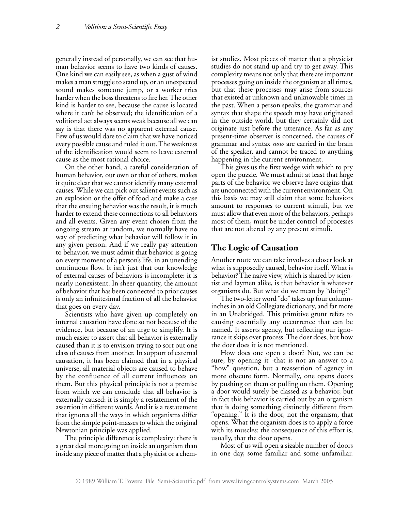generally instead of personally, we can see that human behavior seems to have two kinds of causes. One kind we can easily see, as when a gust of wind makes a man struggle to stand up, or an unexpected sound makes someone jump, or a worker tries harder when the boss threatens to fire her. The other kind is harder to see, because the cause is located where it can't be observed; the identification of a volitional act always seems weak because all we can say is that there was no apparent external cause. Few of us would dare to claim that we have noticed every possible cause and ruled it out. The weakness of the identification would seem to leave external cause as the most rational choice.

On the other hand, a careful consideration of human behavior, our own or that of others, makes it quite clear that we cannot identify many external causes. While we can pick out salient events such as an explosion or the offer of food and make a case that the ensuing behavior was the result, it is much harder to extend these connections to all behaviors and all events. Given any event chosen from the ongoing stream at random, we normally have no way of predicting what behavior will follow it in any given person. And if we really pay attention to behavior, we must admit that behavior is going on every moment of a person's life, in an unending continuous flow. It isn't just that our knowledge of external causes of behaviors is incomplete: it is nearly nonexistent. In sheer quantity, the amount of behavior that has been connected to prior causes is only an infinitesimal fraction of all the behavior that goes on every day.

Scientists who have given up completely on internal causation have done so not because of the evidence, but because of an urge to simplify. It is much easier to assert that all behavior is externally caused than it is to envision trying to sort out one class of causes from another. In support of external causation, it has been claimed that in a physical universe, all material objects are caused to behave by the confluence of all current influences on them. But this physical principle is not a premise from which we can conclude that all behavior is externally caused: it is simply a restatement of the assertion in different words. And it is a restatement that ignores all the ways in which organisms differ from the simple point-masses to which the original Newtonian principle was applied.

The principle difference is complexity: there is a great deal more going on inside an organism than inside any piece of matter that a physicist or a chemist studies. Most pieces of matter that a physicist studies do not stand up and try to get away. This complexity means not only that there are important processes going on inside the organism at all times, but that these processes may arise from sources that existed at unknown and unknowable times in the past. When a person speaks, the grammar and syntax that shape the speech may have originated in the outside world, but they certainly did not originate just before the utterance. As far as any present-time observer is concerned, the causes of grammar and syntax *now* are carried in the brain of the speaker, and cannot be traced to anything happening in the current environment.

This gives us the first wedge with which to pry open the puzzle. We must admit at least that large parts of the behavior we observe have origins that are unconnected with the current environment. On this basis we may still claim that some behaviors amount to responses to current stimuli, but we must allow that even more of the behaviors, perhaps most of them, must be under control of processes that are not altered by any present stimuli.

#### **The Logic of Causation**

Another route we can take involves a closer look at what is supposedly caused, behavior itself. What is behavior? The naive view, which is shared by scientist and laymen alike, is that behavior is whatever organisms do. But what do we mean by "doing?"

The two-letter word "do" takes up four columninches in an old Collegiate dictionary, and far more in an Unabridged. This primitive grunt refers to causing essentially any occurrence that can be named. It asserts agency, but reflecting our ignorance it skips over process. The doer does, but how the doer does it is not mentioned.

How does one open a door? Not, we can be sure, by opening it -that is not an answer to a "how" question, but a reassertion of agency in more obscure form. Normally, one opens doors by pushing on them or pulling on them. Opening a door would surely be classed as a behavior, but in fact this behavior is carried out by an organism that is doing something distinctly different from "opening." It is the door, not the organism, that opens. What the organism does is to apply a force with its muscles: the consequence of this effort is, usually, that the door opens.

Most of us will open a sizable number of doors in one day, some familiar and some unfamiliar.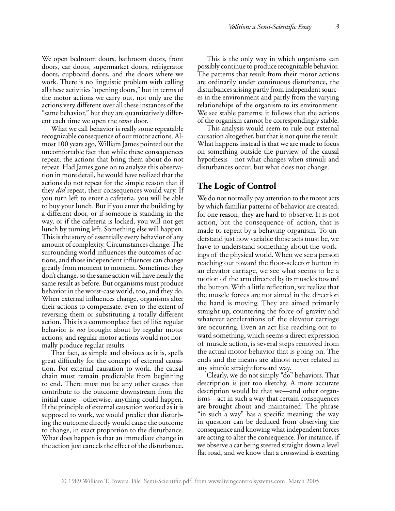We open bedroom doors, bathroom doors, front doors, car doors, supermarket doors, refrigerator doors, cupboard doors, and the doors where we work. There is no linguistic problem with calling all these activities "opening doors," but in terms of the motor actions we carry out, not only are the actions very different over all these instances of the "same behavior," but they are quantitatively different each time we open the *same* door.

What we call behavior is really some repeatable recognizable consequence of our motor actions. Almost 100 years ago, William James pointed out the uncomfortable fact that while these consequences repeat, the actions that bring them about do not repeat. Had James gone on to analyze this observation in more detail, he would have realized that the actions do not repeat for the simple reason that if they *did* repeat, their consequences would vary. If you turn left to enter a cafeteria, you will be able to buy your lunch. But if you enter the building by a different door, or if someone is standing in the way, or if the cafeteria is locked, you will not get lunch by turning left. Something else will happen. This is the story of essentially every behavior of any amount of complexity. Circumstances change. The surrounding world influences the outcomes of actions, and those independent influences can change greatly from moment to moment. Sometimes they don't change, so the same action will have nearly the same result as before. But organisms must produce behavior in the worst-case world, too, and they do. When external influences change, organisms alter their actions to compensate, even to the extent of reversing them or substituting a totally different action. This is a commonplace fact of life: regular behavior is *not* brought about by regular motor actions, and regular motor actions would not normally produce regular results.

That fact, as simple and obvious as it is, spells great difficulty for the concept of external causation. For external causation to work, the causal chain must remain predictable from beginning to end. There must not be any other causes that contribute to the outcome downstream from the initial cause—otherwise, anything could happen. If the principle of external causation worked as it is supposed to work, we would predict that disturbing the outcome directly would cause the outcome to change, in exact proportion to the disturbance. What does happen is that an immediate change in the action just cancels the effect of the disturbance.

This is the only way in which organisms can possibly continue to produce recognizable behavior. The patterns that result from their motor actions are ordinarily under continuous disturbance, the disturbances arising partly from independent sources in the environment and partly from the varying relationships of the organism to its environment. We see stable patterns; it follows that the actions of the organism cannot be correspondingly stable.

This analysis would seem to rule out external causation altogether, but that is not quite the result. What happens instead is that we are made to focus on something outside the purview of the causal hypothesis—not what changes when stimuli and disturbances occur, but what does not change.

#### **The Logic of Control**

We do not normally pay attention to the motor acts by which familiar patterns of behavior are created; for one reason, they are hard to observe. It is not action, but the consequence of action, that is made to repeat by a behaving organism. To understand just how variable those acts must be, we have to understand something about the workings of the physical world. When we see a person reaching out toward the floor-selector button in an elevator carriage, we see what seems to be a motion of the arm directed by its muscles toward the button. With a little reflection, we realize that the muscle forces are not aimed in the direction the hand is moving. They are aimed primarily straight up, countering the force of gravity and whatever accelerations of the elevator carriage are occurring. Even an act like reaching out toward something, which seems a direct expression of muscle action, is several steps removed from the actual motor behavior that is going on. The ends and the means are almost never related in any simple straightforward way.

Clearly, we do not simply "do" behaviors. That description is just too sketchy. A more accurate description would be that we—and other organisms—act in such a way that certain consequences are brought about and maintained. The phrase "in such a way" has a specific meaning: the way in question can be deduced from observing the consequence and knowing what independent forces are acting to alter the consequence. For instance, if we observe a car being steered straight down a level flat road, and we know that a crosswind is exerting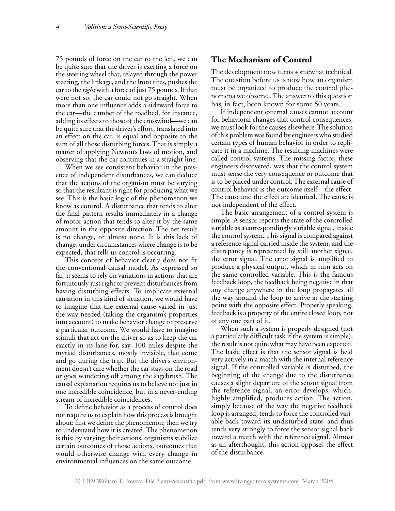75 pounds of force on the car to the left, we can be quite sure that the driver is exerting a force on the steering wheel that, relayed through the power steering, the linkage, and the front tires, pushes the car to the *right* with a force of just 75 pounds. If that were not so, the car could not go straight. When more than one influence adds a sideward force to the car—the camber of the roadbed, for instance, adding its effects to those of the crosswind—we can be quite sure that the driver's effort, translated into an effect on the car, is equal and opposite to the sum of all those disturbing forces. That is simply a matter of applying Newton's laws of motion, and observing that the car continues in a straight line.

When we see consistent behavior in the presence of independent disturbances, we can deduce that the actions of the organism must be varying so that the resultant is right for producing what we see. This is the basic logic of the phenomenon we know as control. A disturbance that tends to alter the final pattern results immediately in a change of motor action that tends to alter it by the same amount in the opposite direction. The net result is no change, or almost none. It is this lack of change, under circumstances where change is to be expected, that tells us control is occurring.

This concept of behavior clearly does not fit the conventional causal model. As expressed so far, it seems to rely on variations in actions that are fortuitously just right to prevent disturbances from having disturbing effects. To implicate external causation in this kind of situation, we would have to imagine that the external cause varied in just the way needed (taking the organism's properties into account) to make behavior change to preserve a particular outcome. We would have to imagine stimuli that act on the driver so as to keep the car exactly in its lane for, say, 100 miles despite the myriad disturbances, mostly invisible, that come and go during the trip. But the driver's environment doesn't care whether the car stays on the road or goes wandering off among the sagebrush. The causal explanation requires us to believe not just in one incredible coincidence, but in a never-ending stream of incredible coincidences.

To define behavior as a process of control does not require us to explain how this process is brought about: first we define the phenomenon; then we try to understand how it is created. The phenomenon is this: by varying their actions, organisms stabilize certain outcomes of those actions, outcomes that would otherwise change with every change in environmental influences on the same outcome.

### **The Mechanism of Control**

The development now turns somewhat technical. The question before us is now how an organism must be organized to produce the control phenomena we observe. The answer to this question has, in fact, been known for some 50 years.

If independent external causes cannot account for behavioral changes that control consequences, we must look for the causes elsewhere. The solution of this problem was found by engineers who studied certain types of human behavior in order to replicate it in a machine. The resulting machines were called control systems. The missing factor, these engineers discovered, was that the control system must sense the very consequence or outcome that is to be placed under control. The external cause of control behavior is the outcome itself—the effect. The cause and the effect are identical. The cause is not independent of the effect.

The basic arrangement of a control system is simple. A sensor reports the state of the controlled variable as a correspondingly variable signal, inside the control system. This signal is compared against a reference signal carried inside the system, and the discrepancy is represented by still another signal, the error signal. The error signal is amplified to produce a physical output, which in turn acts on the same controlled variable. This is the famous feedback loop, the feedback being negative in that any change anywhere in the loop propagates all the way around the loop to arrive at the starting point with the opposite effect. Properly speaking, feedback is a property of the entire closed loop, not of any one part of it.

When such a system is properly designed (not a particularly difficult task if the system is simple), the result is not quite what may have been expected. The basic effect is that the sensor signal is held very actively in a match with the internal reference signal. If the controlled variable is disturbed, the beginning of the change due to the disturbance causes a slight departure of the sensor signal from the reference signal; an error develops, which, highly amplified, produces action. The action, simply because of the way the negative feedback loop is arranged, tends to force the controlled variable back toward its undisturbed state, and thus tends very strongly to force the sensor signal back toward a match with the reference signal. Almost as an afterthought, this action opposes the effect of the disturbance.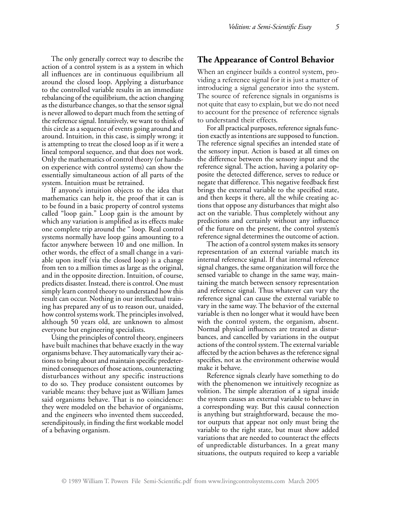The only generally correct way to describe the action of a control system is as a system in which all influences are in continuous equilibrium all around the closed loop. Applying a disturbance to the controlled variable results in an immediate rebalancing of the equilibrium, the action changing as the disturbance changes, so that the sensor signal is never allowed to depart much from the setting of the reference signal. Intuitively, we want to think of this circle as a sequence of events going around and around. Intuition, in this case, is simply wrong: it is attempting to treat the closed loop as if it were a lineal temporal sequence, and that does not work. Only the mathematics of control theory (or handson experience with control systems) can show the essentially simultaneous action of all parts of the system. Intuition must be retrained.

If anyone's intuition objects to the idea that mathematics can help it, the proof that it can is to be found in a basic property of control systems called "loop gain." Loop gain is the amount by which any variation is amplified as its effects make one complete trip around the " loop. Real control systems normally have loop gains amounting to a factor anywhere between 10 and one million. In other words, the effect of a small change in a variable upon itself (via the closed loop) is a change from ten to a million times as large as the original, and in the opposite direction. Intuition, of course, predicts disaster. Instead, there is control. One must simply learn control theory to understand how this result can occur. Nothing in our intellectual training has prepared any of us to reason out, unaided, how control systems work. The principles involved, although 50 years old, are unknown to almost everyone but engineering specialists.

Using the principles of control theory, engineers have built machines that behave exactly in the way organisms behave. They automatically vary their actions to bring about and maintain specific predetermined consequences of those actions, counteracting disturbances without any specific instructions to do so. They produce consistent outcomes by variable means: they behave just as William James said organisms behave. That is no coincidence: they were modeled on the behavior of organisms, and the engineers who invented them succeeded, serendipitously, in finding the first workable model of a behaving organism.

#### **The Appearance of Control Behavior**

When an engineer builds a control system, providing a reference signal for it is just a matter of introducing a signal generator into the system. The source of reference signals in organisms is not quite that easy to explain, but we do not need to account for the presence of reference signals to understand their effects.

For all practical purposes, reference signals function exactly as intentions are supposed to function. The reference signal specifies an intended state of the sensory input. Action is based at all times on the difference between the sensory input and the reference signal. The action, having a polarity opposite the detected difference, serves to reduce or negate that difference. This negative feedback first brings the external variable to the specified state, and then keeps it there, all the while creating actions that oppose any disturbances that might also act on the variable. Thus completely without any predictions and certainly without any influence of the future on the present, the control system's reference signal determines the outcome of action.

The action of a control system makes its sensory representation of an external variable match its internal reference signal. If that internal reference signal changes, the same organization will force the sensed variable to change in the same way, maintaining the match between sensory representation and reference signal. Thus whatever can vary the reference signal can cause the external variable to vary in the same way. The behavior of the external variable is then no longer what it would have been with the control system, the organism, absent. Normal physical influences are treated as disturbances, and cancelled by variations in the output actions of the control system. The external variable affected by the action behaves as the reference signal specifies, not as the environment otherwise would make it behave.

Reference signals clearly have something to do with the phenomenon we intuitively recognize as volition. The simple alteration of a signal inside the system causes an external variable to behave in a corresponding way. But this causal connection is anything but straightforward, because the motor outputs that appear not only must bring the variable to the right state, but must show added variations that are needed to counteract the effects of unpredictable disturbances. In a great many situations, the outputs required to keep a variable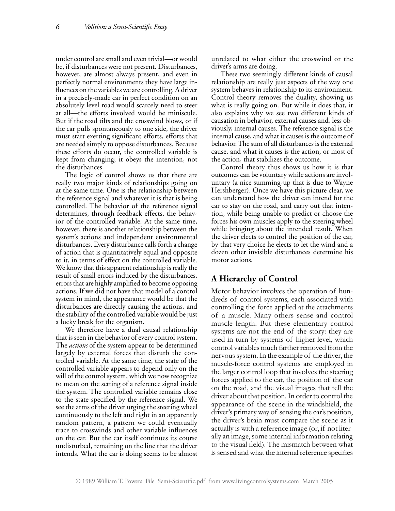under control are small and even trivial—or would be, if disturbances were not present. Disturbances, however, are almost always present, and even in perfectly normal environments they have large influences on the variables we are controlling. A driver in a precisely-made car in perfect condition on an absolutely level road would scarcely need to steer at all—the efforts involved would be miniscule. But if the road tilts and the crosswind blows, or if the car pulls spontaneously to one side, the driver must start exerting significant efforts, efforts that are needed simply to oppose disturbances. Because these efforts do occur, the controlled variable is kept from changing; it obeys the intention, not the disturbances.

The logic of control shows us that there are really two major kinds of relationships going on at the same time. One is the relationship between the reference signal and whatever it is that is being controlled. The behavior of the reference signal determines, through feedback effects, the behavior of the controlled variable. At the same time, however, there is another relationship between the system's actions and independent environmental disturbances. Every disturbance calls forth a change of action that is quantitatively equal and opposite to it, in terms of effect on the controlled variable. We know that this apparent relationship is really the result of small errors induced by the disturbances, errors that are highly amplified to become opposing actions. If we did not have that model of a control system in mind, the appearance would be that the disturbances are directly causing the actions, and the stability of the controlled variable would be just a lucky break for the organism.

We therefore have a dual causal relationship that is seen in the behavior of every control system. The *actions* of the system appear to be determined largely by external forces that disturb the controlled variable. At the same time, the state of the controlled variable appears to depend only on the will of the control system, which we now recognize to mean on the setting of a reference signal inside the system. The controlled variable remains close to the state specified by the reference signal. We see the arms of the driver urging the steering wheel continuously to the left and right in an apparently random pattern, a pattern we could eventually trace to crosswinds and other variable influences on the car. But the car itself continues its course undisturbed, remaining on the line that the driver intends. What the car is doing seems to be almost unrelated to what either the crosswind or the driver's arms are doing.

These two seemingly different kinds of causal relationship are really just aspects of the way one system behaves in relationship to its environment. Control theory removes the duality, showing us what is really going on. But while it does that, it also explains why we see two different kinds of causation in behavior, external causes and, less obviously, internal causes. The reference signal is the internal cause, and what it causes is the outcome of behavior. The sum of all disturbances is the external cause, and what it causes is the action, or most of the action, that stabilizes the outcome.

Control theory thus shows us how it is that outcomes can be voluntary while actions are involuntary (a nice summing-up that is due to Wayne Hershberger). Once we have this picture clear, we can understand how the driver can intend for the car to stay on the road, and carry out that intention, while being unable to predict or choose the forces his own muscles apply to the steering wheel while bringing about the intended result. When the driver elects to control the position of the car, by that very choice he elects to let the wind and a dozen other invisible disturbances determine his motor actions.

#### **A Hierarchy of Control**

Motor behavior involves the operation of hundreds of control systems, each associated with controlling the force applied at the attachments of a muscle. Many others sense and control muscle length. But these elementary control systems are not the end of the story: they are used in turn by systems of higher level, which control variables much farther removed from the nervous system. In the example of the driver, the muscle-force control systems are employed in the larger control loop that involves the steering forces applied to the car, the position of the car on the road, and the visual images that tell the driver about that position. In order to control the appearance of the scene in the windshield, the driver's primary way of sensing the car's position, the driver's brain must compare the scene as it actually is with a reference image (or, if not literally an image, some internal information relating to the visual field). The mismatch between what is sensed and what the internal reference specifies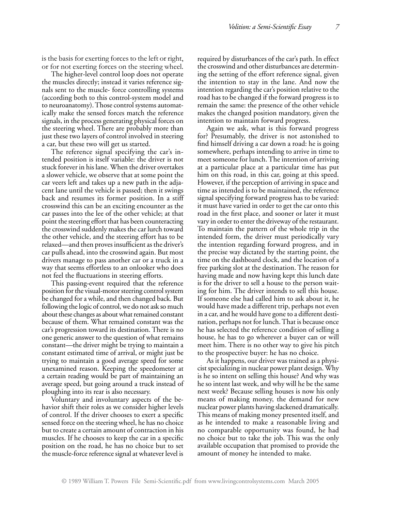is the basis for exerting forces to the left or right, or for not exerting forces on the steering wheel.

The higher-level control loop does not operate the muscles directly; instead it varies reference signals sent to the muscle- force controlling systems (according both to this control-system model and to neuroanatomy). Those control systems automatically make the sensed forces match the reference signals, in the process generating physical forces on the steering wheel. There are probably more than just these two layers of control involved in steering a car, but these two will get us started.

The reference signal specifying the car's intended position is itself variable: the driver is not stuck forever in his lane. When the driver overtakes a slower vehicle, we observe that at some point the car veers left and takes up a new path in the adjacent lane until the vehicle is passed; then it swings back and resumes its former position. In a stiff crosswind this can be an exciting encounter as the car passes into the lee of the other vehicle; at that point the steering effort that has been counteracting the crosswind suddenly makes the car lurch toward the other vehicle, and the steering effort has to be relaxed—and then proves insufficient as the driver's car pulls ahead, into the crosswind again. But most drivers manage to pass another car or a truck in a way that seems effortless to an onlooker who does not feel the fluctuations in steering efforts.

This passing-event required that the reference position for the visual-motor steering control system be changed for a while, and then changed back. But following the logic of control, we do not ask so much about these changes as about what remained constant because of them. What remained constant was the car's progression toward its destination. There is no one generic answer to the question of what remains constant—the driver might be trying to maintain a constant estimated time of arrival, or might just be trying to maintain a good average speed for some unexamined reason. Keeping the speedometer at a certain reading would be part of maintaining an average speed, but going around a truck instead of ploughing into its rear is also necessary.

Voluntary and involuntary aspects of the behavior shift their roles as we consider higher levels of control. If the driver chooses to exert a specific sensed force on the steering wheel, he has no choice but to create a certain amount of contraction in his muscles. If he chooses to keep the car in a specific position on the road, he has no choice but to set the muscle-force reference signal at whatever level is required by disturbances of the car's path. In effect the crosswind and other disturbances are determining the setting of the effort reference signal, given the intention to stay in the lane. And now the intention regarding the car's position relative to the road has to be changed if the forward progress is to remain the same: the presence of the other vehicle makes the changed position mandatory, given the intention to maintain forward progress.

Again we ask, what is this forward progress for? Presumably, the driver is not astonished to find himself driving a car down a road: he is going somewhere, perhaps intending to arrive in time to meet someone for lunch. The intention of arriving at a particular place at a particular time has put him on this road, in this car, going at this speed. However, if the perception of arriving in space and time as intended is to be maintained, the reference signal specifying forward progress has to be varied: it must have varied in order to get the car onto this road in the first place, and sooner or later it must vary in order to enter the driveway of the restaurant. To maintain the pattern of the whole trip in the intended form, the driver must periodically vary the intention regarding forward progress, and in the precise way dictated by the starting point, the time on the dashboard clock, and the location of a free parking slot at the destination. The reason for having made and now having kept this lunch date is for the driver to sell a house to the person waiting for him. The driver intends to sell this house. If someone else had called him to ask about it, he would have made a different trip, perhaps not even in a car, and he would have gone to a different destination, perhaps not for lunch. That is because once he has selected the reference condition of selling a house, he has to go wherever a buyer can or will meet him. There is no other way to give his pitch to the prospective buyer: he has no choice.

As it happens, our driver was trained as a physicist specializing in nuclear power plant design. Why is he so intent on selling this house? And why was he so intent last week, and why will he be the same next week? Because selling houses is now his only means of making money, the demand for new nuclear power plants having slackened dramatically. This means of making money presented itself, and as he intended to make a reasonable living and no comparable opportunity was found, he had no choice but to take the job. This was the only available occupation that promised to provide the amount of money he intended to make.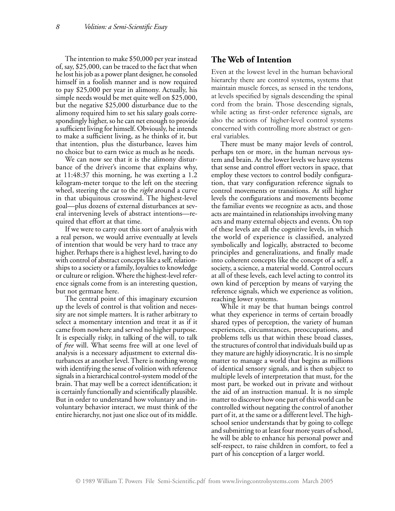The intention to make \$50,000 per year instead of, say, \$25,000, can be traced to the fact that when he lost his job as a power plant designer, he consoled himself in a foolish manner and is now required to pay \$25,000 per year in alimony. Actually, his simple needs would be met quite well on \$25,000, but the negative \$25,000 disturbance due to the alimony required him to set his salary goals correspondingly higher, so he can net enough to provide a sufficient living for himself. Obviously, he intends to make a sufficient living, as he thinks of it, but that intention, plus the disturbance, leaves him no choice but to earn twice as much as he needs.

We can now see that it is the alimony disturbance of the driver's income that explains why, at 11:48:37 this morning, he was exerting a 1.2 kilogram-meter torque to the left on the steering wheel, steering the car to the *right* around a curve in that ubiquitous crosswind. The highest-level goal—plus dozens of external disturbances at several intervening levels of abstract intentions—required that effort at that time.

If we were to carry out this sort of analysis with a real person, we would arrive eventually at levels of intention that would be very hard to trace any higher. Perhaps there is a highest level, having to do with control of abstract concepts like a self, relationships to a society or a family, loyalties to knowledge or culture or religion. Where the highest-level reference signals come from is an interesting question, but not germane here.

The central point of this imaginary excursion up the levels of control is that volition and necessity are not simple matters. It is rather arbitrary to select a momentary intention and treat it as if it came from nowhere and served no higher purpose. It is especially risky, in talking of the will, to talk of *free* will. What seems free will at one level of analysis is a necessary adjustment to external disturbances at another level. There is nothing wrong with identifying the sense of volition with reference signals in a hierarchical control-system model of the brain. That may well be a correct identification; it is certainly functionally and scientifically plausible. But in order to understand how voluntary and involuntary behavior interact, we must think of the entire hierarchy, not just one slice out of its middle.

#### **The Web of Intention**

Even at the lowest level in the human behavioral hierarchy there are control systems, systems that maintain muscle forces, as sensed in the tendons, at levels specified by signals descending the spinal cord from the brain. Those descending signals, while acting as first-order reference signals, are also the actions of higher-level control systems concerned with controlling more abstract or general variables.

There must be many major levels of control, perhaps ten or more, in the human nervous system and brain. At the lower levels we have systems that sense and control effort vectors in space, that employ these vectors to control bodily configuration, that vary configuration reference signals to control movements or transitions. At still higher levels the configurations and movements become the familiar events we recognize as acts, and those acts are maintained in relationships involving many acts and many external objects and events. On top of these levels are all the cognitive levels, in which the world of experience is classified, analyzed symbolically and logically, abstracted to become principles and generalizations, and finally made into coherent concepts like the concept of a self, a society, a science, a material world. Control occurs at all of these levels, each level acting to control its own kind of perception by means of varying the reference signals, which we experience as volition, reaching lower systems.

While it may be that human beings control what they experience in terms of certain broadly shared types of perception, the variety of human experiences, circumstances, preoccupations, and problems tells us that within these broad classes, the structures of control that individuals build up as they mature are highly idiosyncratic. It is no simple matter to manage a world that begins as millions of identical sensory signals, and is then subject to multiple levels of interpretation that must, for the most part, be worked out in private and without the aid of an instruction manual. It is no simple matter to discover how one part of this world can be controlled without negating the control of another part of it, at the same or a different level. The highschool senior understands that by going to college and submitting to at least four more years of school, he will be able to enhance his personal power and self-respect, to raise children in comfort, to feel a part of his conception of a larger world.